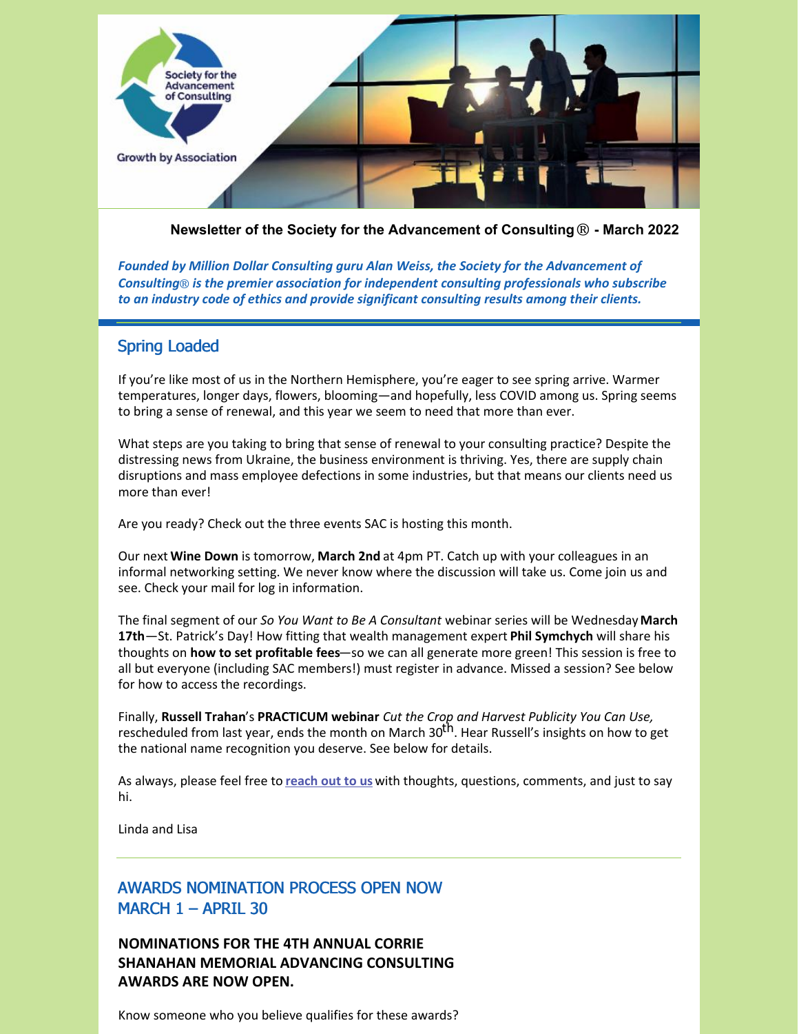

**Newsletter of the Society for the Advancement of Consulting**® **- March 2022**

*Founded by Million Dollar Consulting guru Alan Weiss, the Society for the Advancement of Consulting*® *is the premier association for independent consulting professionals who subscribe to an industry code of ethics and provide significant consulting results among their clients.*

# Spring Loaded

If you're like most of us in the Northern Hemisphere, you're eager to see spring arrive. Warmer temperatures, longer days, flowers, blooming—and hopefully, less COVID among us. Spring seems to bring a sense of renewal, and this year we seem to need that more than ever.

What steps are you taking to bring that sense of renewal to your consulting practice? Despite the distressing news from Ukraine, the business environment is thriving. Yes, there are supply chain disruptions and mass employee defections in some industries, but that means our clients need us more than ever!

Are you ready? Check out the three events SAC is hosting this month.

Our next **Wine Down** is tomorrow, **March 2nd** at 4pm PT. Catch up with your colleagues in an informal networking setting. We never know where the discussion will take us. Come join us and see. Check your mail for log in information.

The final segment of our *So You Want to Be A Consultant* webinar series will be Wednesday **March 17th**—St. Patrick's Day! How fitting that wealth management expert **Phil Symchych** will share his thoughts on **how to set profitable fees**—so we can all generate more green! This session is free to all but everyone (including SAC members!) must register in advance. Missed a session? See below for how to access the recordings.

Finally, **Russell Trahan**'s **PRACTICUM webinar** *Cut the Crop and Harvest Publicity You Can Use,* rescheduled from last year, ends the month on March 30<sup>th</sup>. Hear Russell's insights on how to get the national name recognition you deserve. See below for details.

As always, please feel free to **[reach](mailto:info@consultingsociety.com) out to us** with thoughts, questions, comments, and just to say hi.

Linda and Lisa

# AWARDS NOMINATION PROCESS OPEN NOW MARCH 1 – APRIL 30

**NOMINATIONS FOR THE 4TH ANNUAL CORRIE SHANAHAN MEMORIAL ADVANCING CONSULTING AWARDS ARE NOW OPEN.**

Know someone who you believe qualifies for these awards?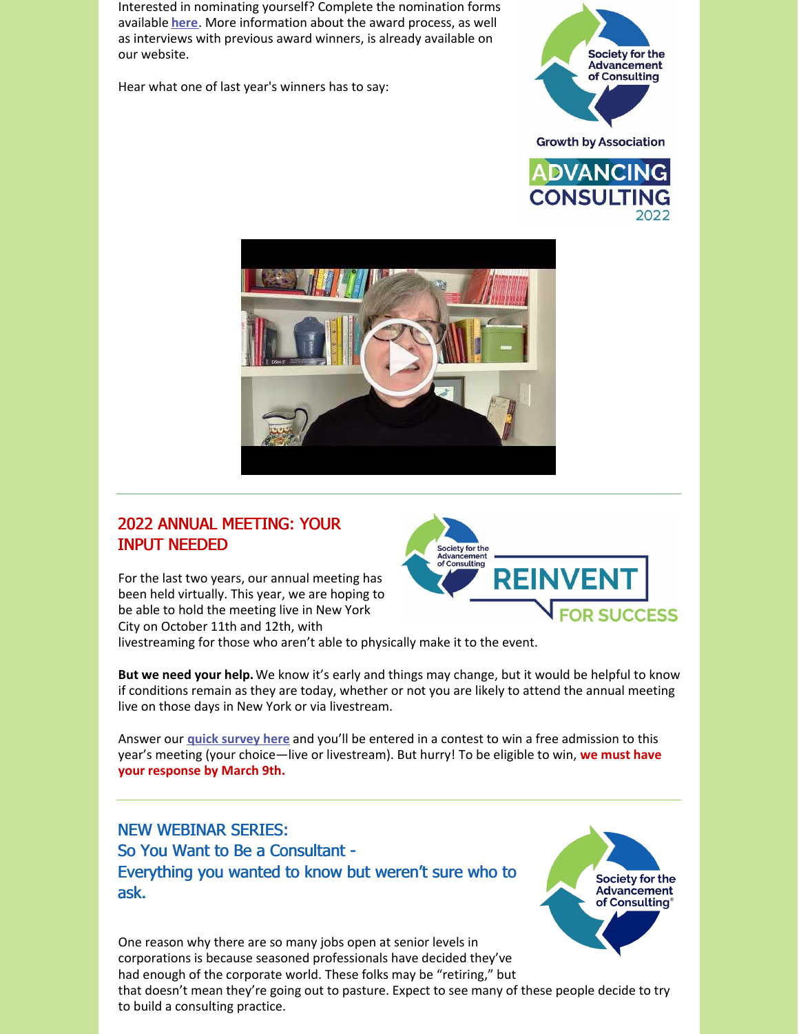Interested in nominating yourself? Complete the nomination forms available **[here](https://consultingsociety.com/programs-events/advancing-consulting-award/)**. More information about the award process, as well as interviews with previous award winners, is already available on our website.

Hear what one of last year's winners has to say:





# 2022 ANNUAL MEETING: YOUR INPUT NEEDED

For the last two years, our annual meeting has been held virtually. This year, we are hoping to be able to hold the meeting live in New York City on October 11th and 12th, with



livestreaming for those who aren't able to physically make it to the event.

**But we need your help.**We know it's early and things may change, but it would be helpful to know if conditions remain as they are today, whether or not you are likely to attend the annual meeting live on those days in New York or via livestream.

Answer our **quick [survey](https://www.surveymonkey.com/r/DG2BRGJ) here** and you'll be entered in a contest to win a free admission to this year's meeting (your choice—live or livestream). But hurry! To be eligible to win, **we must have your response by March 9th.**

# NEW WEBINAR SERIES: So You Want to Be a Consultant - Everything you wanted to know but weren't sure who to ask.

One reason why there are so many jobs open at senior levels in corporations is because seasoned professionals have decided they've had enough of the corporate world. These folks may be "retiring," but that doesn't mean they're going out to pasture. Expect to see many of these people decide to try to build a consulting practice.

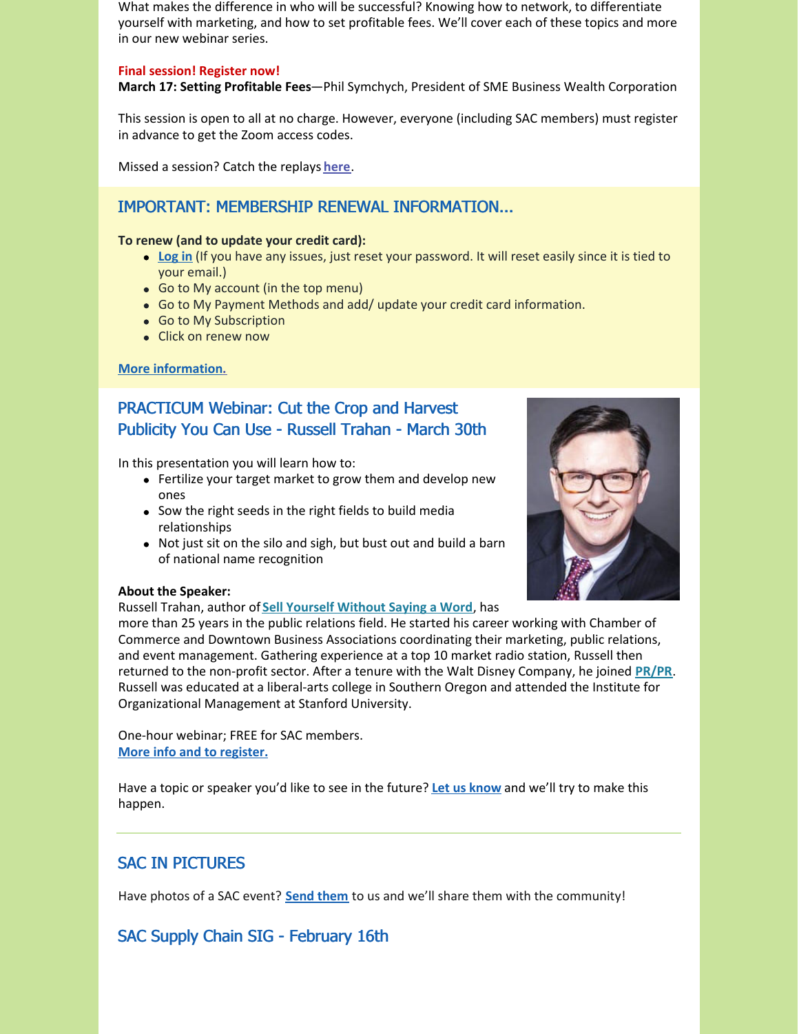What makes the difference in who will be successful? Knowing how to network, to differentiate yourself with marketing, and how to set profitable fees. We'll cover each of these topics and more in our new webinar series.

### **Final session! Register now!**

**March 17: Setting Profitable Fees**—Phil Symchych, President of SME Business Wealth Corporation

This session is open to all at no charge. However, everyone (including SAC members) must register in advance to get the Zoom access codes.

Missed a session? Catch the replays **[here](http://consultingsociety.com/reinvent-for-success-webinars/)**.

## IMPORTANT: MEMBERSHIP RENEWAL INFORMATION...

#### **To renew (and to update your credit card):**

- **[Log](https://consultingsociety.com/) in** (If you have any issues, just reset your password. It will reset easily since it is tied to your email.)
- Go to My account (in the top menu)
- Go to My Payment Methods and add/ update your credit card information.
- Go to My Subscription
- Click on renew now

## **More [information.](https://consultingsociety.com/membership/membership-types)**

# PRACTICUM Webinar: Cut the Crop and Harvest Publicity You Can Use - Russell Trahan - March 30th

In this presentation you will learn how to:

- Fertilize your target market to grow them and develop new ones
- Sow the right seeds in the right fields to build media relationships
- Not just sit on the silo and sigh, but bust out and build a barn of national name recognition

### **About the Speaker:**

Russell Trahan, author of **Sell Yourself [Without](https://www.amazon.com/Sell-Yourself-Without-Saying-Word/dp/194187097X/ref=sr_1_1?s=books&ie=UTF8&qid=1498653534&sr=1-1&keywords=sell+yourself+without+saying+a+word) Saying a Word**, has

more than 25 years in the public relations field. He started his career working with Chamber of Commerce and Downtown Business Associations coordinating their marketing, public relations, and event management. Gathering experience at a top 10 market radio station, Russell then returned to the non-profit sector. After a tenure with the Walt Disney Company, he joined **[PR/PR](https://prpr.net/)**. Russell was educated at a liberal-arts college in Southern Oregon and attended the Institute for Organizational Management at Stanford University.

One-hour webinar; FREE for SAC members. **More info and to [register.](https://consultingsociety.com/programs-events/practicum-webinars/#trahan-0322)**

Have a topic or speaker you'd like to see in the future? **Let us [know](mailto:info@consultingsociety.com)** and we'll try to make this happen.

# SAC IN PICTURES

Have photos of a SAC event? **Send [them](mailto:info@consultingsociety.com)** to us and we'll share them with the community!

# SAC Supply Chain SIG - February 16th

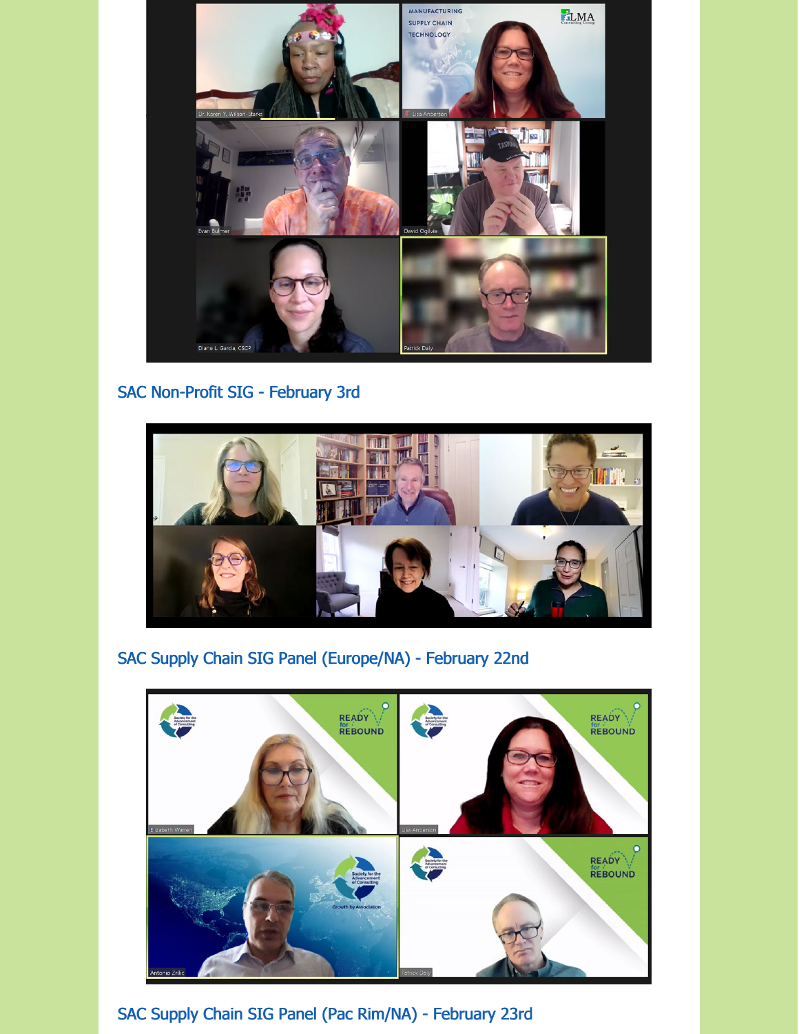

# SAC Non-Profit SIG - February 3rd



SAC Supply Chain SIG Panel (Europe/NA) - February 22nd



SAC Supply Chain SIG Panel (Pac Rim/NA) - February 23rd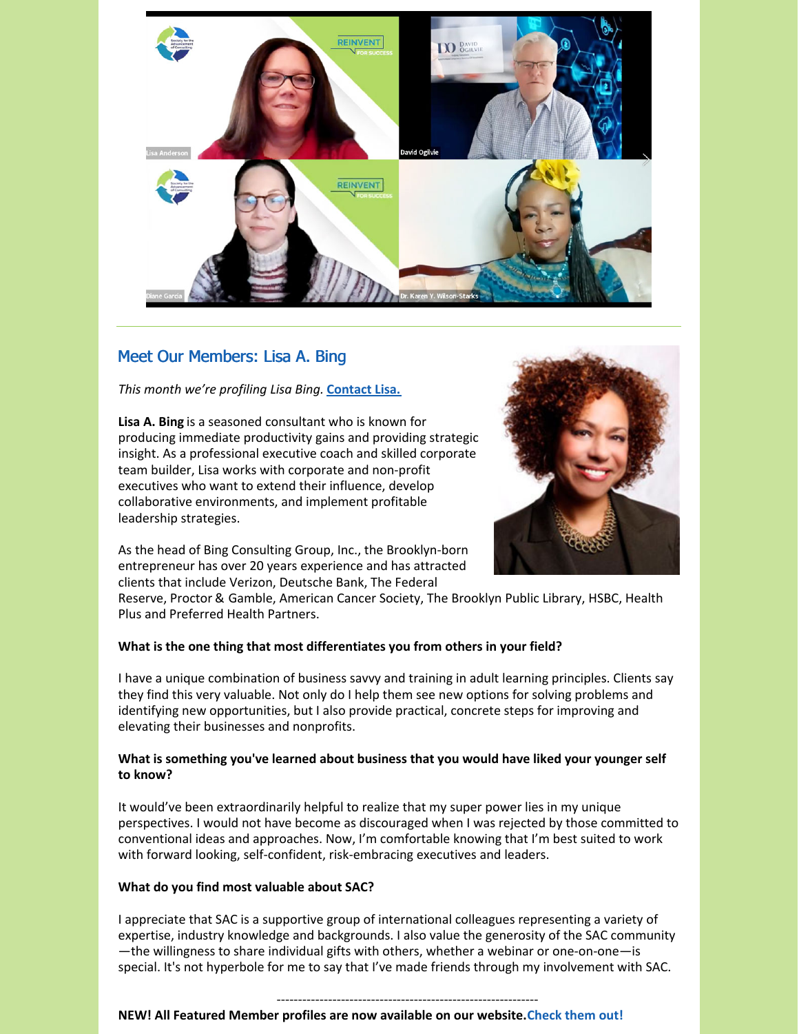

# Meet Our Members: Lisa A. Bing

*This month we're profiling Lisa Bing.* **[Contact](https://consultingsociety.com/user/lisabing/) Lisa.**

**Lisa A. Bing** is a seasoned consultant who is known for producing immediate productivity gains and providing strategic insight. As a professional executive coach and skilled corporate team builder, Lisa works with corporate and non-profit executives who want to extend their influence, develop collaborative environments, and implement profitable leadership strategies.



As the head of Bing Consulting Group, Inc., the Brooklyn-born entrepreneur has over 20 years experience and has attracted clients that include Verizon, Deutsche Bank, The Federal

Reserve, Proctor & Gamble, American Cancer Society, The Brooklyn Public Library, HSBC, Health Plus and Preferred Health Partners.

### **What is the one thing that most differentiates you from others in your field?**

I have a unique combination of business savvy and training in adult learning principles. Clients say they find this very valuable. Not only do I help them see new options for solving problems and identifying new opportunities, but I also provide practical, concrete steps for improving and elevating their businesses and nonprofits.

## **What is something you've learned about business that you would have liked your younger self to know?**

It would've been extraordinarily helpful to realize that my super power lies in my unique perspectives. I would not have become as discouraged when I was rejected by those committed to conventional ideas and approaches. Now, I'm comfortable knowing that I'm best suited to work with forward looking, self-confident, risk-embracing executives and leaders.

### **What do you find most valuable about SAC?**

I appreciate that SAC is a supportive group of international colleagues representing a variety of expertise, industry knowledge and backgrounds. I also value the generosity of the SAC community —the willingness to share individual gifts with others, whether a webinar or one-on-one—is special. It's not hyperbole for me to say that I've made friends through my involvement with SAC.

## -------------------------------------------------------------

#### **NEW! All Featured Member profiles are now available on our website.Check them out!**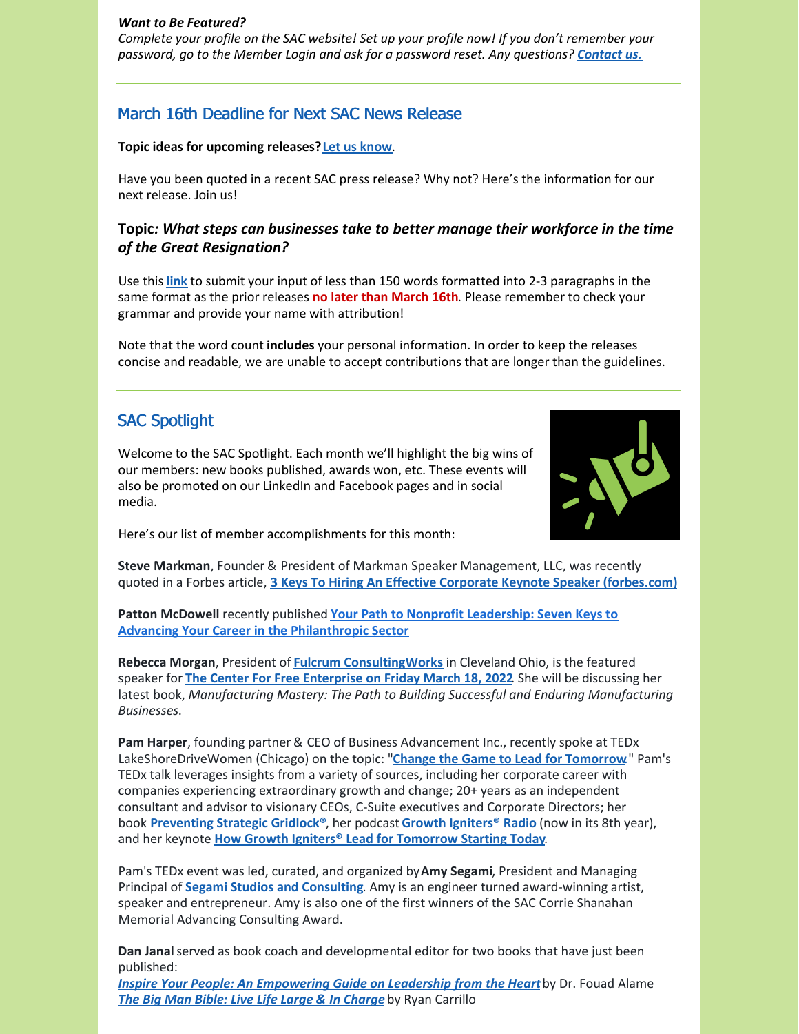#### *Want to Be Featured?*

*Complete your profile on the SAC website! Set up your profile now! If you don't remember your password, go to the Member Login and ask for a password reset. Any questions? [Contact](mailto:info@consultingsociety.com) us.*

## March 16th Deadline for Next SAC News Release

#### **Topic ideas for upcoming releases?Let us [know](mailto:info@consultingsociety.com)**.

Have you been quoted in a recent SAC press release? Why not? Here's the information for our next release. Join us!

## **Topic***: What steps can businesses take to better manage their workforce in the time of the Great Resignation?*

Use this **[link](https://consultingsociety.com/press-release-contribution/)** to submit your input of less than 150 words formatted into 2-3 paragraphs in the same format as the prior releases **no later than March 16th**. Please remember to check your grammar and provide your name with attribution!

Note that the word count **includes** your personal information. In order to keep the releases concise and readable, we are unable to accept contributions that are longer than the guidelines.

## SAC Spotlight

Welcome to the SAC Spotlight. Each month we'll highlight the big wins of our members: new books published, awards won, etc. These events will also be promoted on our LinkedIn and Facebook pages and in social media.



Here's our list of member accomplishments for this month:

**Steve Markman**, Founder & President of Markman Speaker Management, LLC, was recently quoted in a Forbes article, **3 Keys To Hiring An Effective Corporate Keynote Speaker [\(forbes.com\)](https://www.forbes.com/sites/rachelmontanez/2022/02/10/3-keys-to-hiring-an-effective-corporate-keynote-speaker/?sh=59ddd0a077cd)**

**Patton McDowell** recently published **Your Path to Nonprofit Leadership: Seven Keys to Advancing Your Career in the [Philanthropic](https://www.pattonmcdowell.com/book/) Sector**

**Rebecca Morgan**, President of **Fulcrum [ConsultingWorks](https://www.fulcrumcwi.com/)** in Cleveland Ohio, is the featured speaker for **The Center For Free [Enterprise](https://www.centerforfreeenterprise.com/events) on Friday March 18, 2022**. She will be discussing her latest book, *Manufacturing Mastery: The Path to Building Successful and Enduring Manufacturing Businesses*.

**Pam Harper**, founding partner & CEO of Business Advancement Inc., recently spoke at TEDx LakeShoreDriveWomen (Chicago) on the topic: "**Change the Game to Lead for [Tomorrow](https://www.youtube.com/watch?v=Ed7SS2Rz-OM)**." Pam's TEDx talk leverages insights from a variety of sources, including her corporate career with companies experiencing extraordinary growth and change; 20+ years as an independent consultant and advisor to visionary CEOs, C-Suite executives and Corporate Directors; her book **[Preventing](https://www.amazon.com/Preventing-Strategic-Gridlock-Organizational-Performance/dp/0971573948) Strategic Gridlock®**, her podcast **Growth [Igniters®](http://www.growthignitersradio.com/) Radio** (now in its 8th year), and her keynote **How Growth Igniters® Lead for [Tomorrow](https://pamharperspeaks.com/) Starting Today**.

Pam's TEDx event was led, curated, and organized by**Amy Segami**, President and Managing Principal of **Segami Studios and [Consulting](http:)**. Amy is an engineer turned award-winning artist, speaker and entrepreneur. Amy is also one of the first winners of the SAC Corrie Shanahan Memorial Advancing Consulting Award.

**Dan Janal**served as book coach and developmental editor for two books that have just been published:

*Inspire Your People: An [Empowering](https://amzn.to/34YzX7W) Guide on Leadership from the Heart*by Dr. Fouad Alame *The Big Man Bible: Live Life Large & In [Charge](https://amzn.to/3v8u1Uw)* by Ryan Carrillo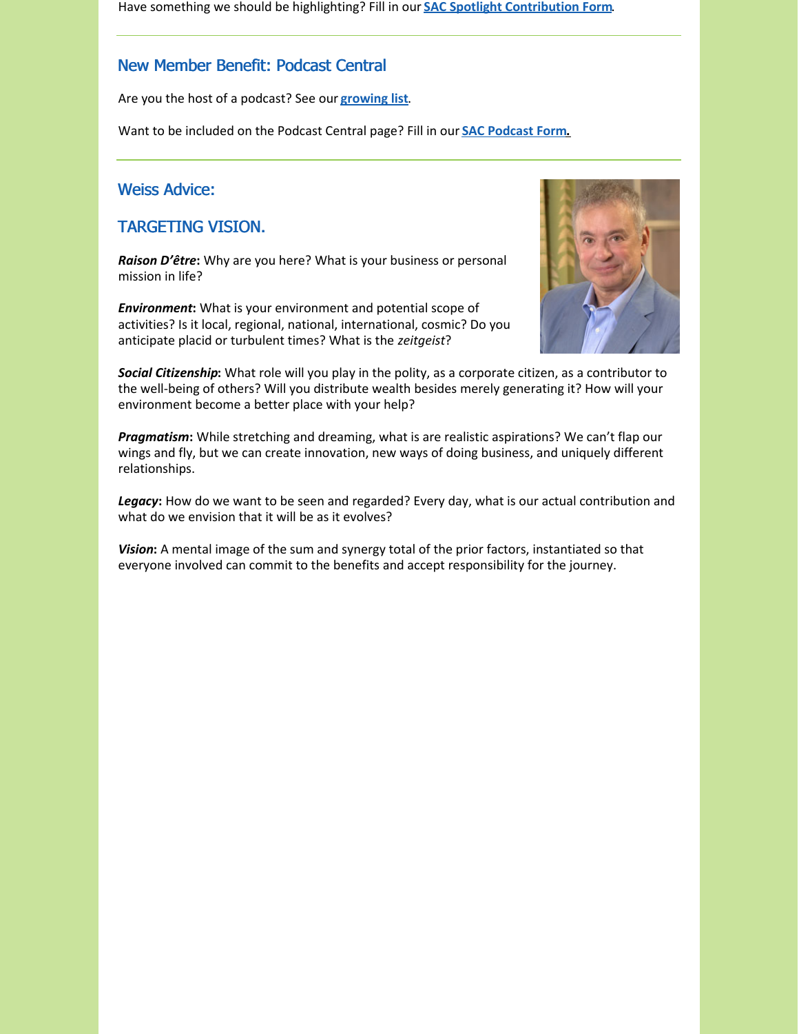Have something we should be highlighting? Fill in our **SAC Spotlight [Contribution](https://consultingsociety.com/sac-spotlight/) Form**.

# New Member Benefit: Podcast Central

Are you the host of a podcast? See our **[growing](https://consultingsociety.com/resources/podcast-central/) list**.

Want to be included on the Podcast Central page? Fill in our **SAC [Podcast](https://consultingsociety.com/podcast-central-contribution-form/) For[m.](https://consultingsociety.com/podcast-central-contribution-form/)**

## Weiss Advice:

## TARGETING VISION.

*Raison D'être***:** Why are you here? What is your business or personal mission in life?

*Environment***:** What is your environment and potential scope of activities? Is it local, regional, national, international, cosmic? Do you anticipate placid or turbulent times? What is the *zeitgeist*?



*Social Citizenship***:** What role will you play in the polity, as a corporate citizen, as a contributor to the well-being of others? Will you distribute wealth besides merely generating it? How will your environment become a better place with your help?

*Pragmatism***:** While stretching and dreaming, what is are realistic aspirations? We can't flap our wings and fly, but we can create innovation, new ways of doing business, and uniquely different relationships.

*Legacy***:** How do we want to be seen and regarded? Every day, what is our actual contribution and what do we envision that it will be as it evolves?

*Vision***:** A mental image of the sum and synergy total of the prior factors, instantiated so that everyone involved can commit to the benefits and accept responsibility for the journey.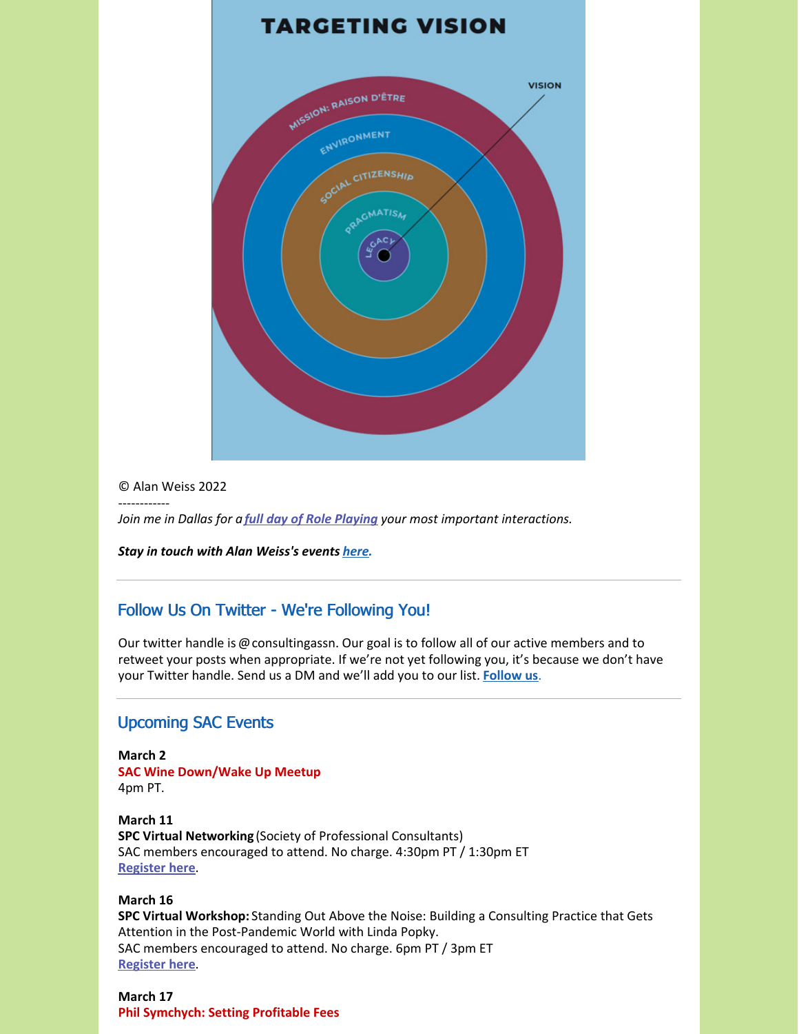

#### © Alan Weiss 2022

------------

*Join me in Dallas for a full day of Role [Playing](https://alanweiss.com/growth-experiences/role-play-workshop/) your most important interactions.*

*Stay in touch with Alan Weiss's events [here](https://www.alanweiss.com/growth-experiences/).*

## Follow Us On Twitter - We're Following You!

Our twitter handle is @consultingassn. Our goal is to follow all of our active members and to retweet your posts when appropriate. If we're not yet following you, it's because we don't have your Twitter handle. Send us a DM and we'll add you to our list. **[Follow](https://twitter.com/ConsultingAssn) us**.

## Upcoming SAC Events

**March 2 SAC Wine Down/Wake Up Meetup** 4pm PT.

**March 11 SPC Virtual Networking** (Society of Professional Consultants) SAC members encouraged to attend. No charge. 4:30pm PT / 1:30pm ET **[Register](https://spconsultants.org/event-4688527) here**.

#### **March 16**

**SPC Virtual Workshop:** Standing Out Above the Noise: Building a Consulting Practice that Gets Attention in the Post-Pandemic World with Linda Popky. SAC members encouraged to attend. No charge. 6pm PT / 3pm ET **[Register](https://spconsultants.org/event-4710703) here**.

**March 17 Phil Symchych: Setting Profitable Fees**